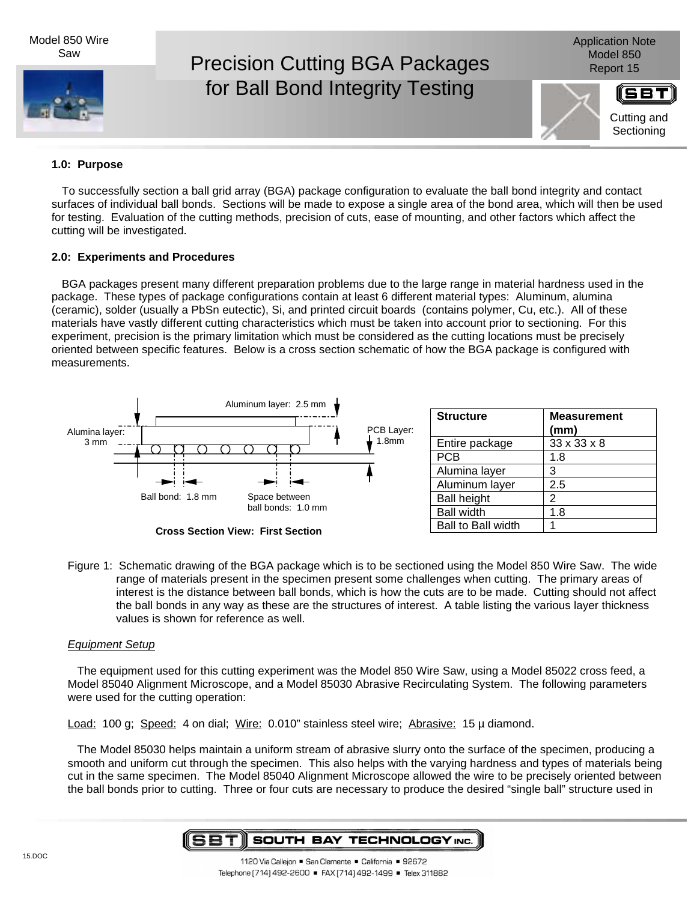Model 850 Wire Saw



Application Note

# **1.0: Purpose**

To successfully section a ball grid array (BGA) package configuration to evaluate the ball bond integrity and contact surfaces of individual ball bonds. Sections will be made to expose a single area of the bond area, which will then be used for testing. Evaluation of the cutting methods, precision of cuts, ease of mounting, and other factors which affect the cutting will be investigated.

# **2.0: Experiments and Procedures**

BGA packages present many different preparation problems due to the large range in material hardness used in the package. These types of package configurations contain at least 6 different material types: Aluminum, alumina (ceramic), solder (usually a PbSn eutectic), Si, and printed circuit boards (contains polymer, Cu, etc.). All of these materials have vastly different cutting characteristics which must be taken into account prior to sectioning. For this experiment, precision is the primary limitation which must be considered as the cutting locations must be precisely oriented between specific features. Below is a cross section schematic of how the BGA package is configured with measurements.



**Cross Section View: First Section**

| Figure 1: Schematic drawing of the BGA package which is to be sectioned using the Model 850 Wire Saw. The wide |
|----------------------------------------------------------------------------------------------------------------|
| range of materials present in the specimen present some challenges when cutting. The primary areas of          |
| interest is the distance between ball bonds, which is how the cuts are to be made. Cutting should not affect   |
| the ball bonds in any way as these are the structures of interest. A table listing the various layer thickness |
| values is shown for reference as well.                                                                         |

# Equipment Setup

The equipment used for this cutting experiment was the Model 850 Wire Saw, using a Model 85022 cross feed, a Model 85040 Alignment Microscope, and a Model 85030 Abrasive Recirculating System. The following parameters were used for the cutting operation:

Load: 100 g; Speed: 4 on dial; Wire: 0.010" stainless steel wire; Abrasive: 15 µ diamond.

The Model 85030 helps maintain a uniform stream of abrasive slurry onto the surface of the specimen, producing a smooth and uniform cut through the specimen. This also helps with the varying hardness and types of materials being cut in the same specimen. The Model 85040 Alignment Microscope allowed the wire to be precisely oriented between the ball bonds prior to cutting. Three or four cuts are necessary to produce the desired "single ball" structure used in

#### SBT **SOUTH BAY TECHNOLOGY INC.**